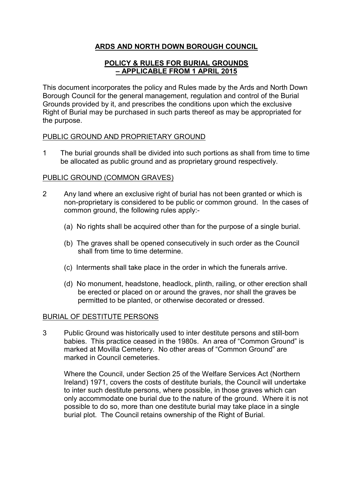# ARDS AND NORTH DOWN BOROUGH COUNCIL

# POLICY & RULES FOR BURIAL GROUNDS – APPLICABLE FROM 1 APRIL 2015

This document incorporates the policy and Rules made by the Ards and North Down Borough Council for the general management, regulation and control of the Burial Grounds provided by it, and prescribes the conditions upon which the exclusive Right of Burial may be purchased in such parts thereof as may be appropriated for the purpose.

# PUBLIC GROUND AND PROPRIETARY GROUND

1 The burial grounds shall be divided into such portions as shall from time to time be allocated as public ground and as proprietary ground respectively.

### PUBLIC GROUND (COMMON GRAVES)

- 2 Any land where an exclusive right of burial has not been granted or which is non-proprietary is considered to be public or common ground. In the cases of common ground, the following rules apply:-
	- (a) No rights shall be acquired other than for the purpose of a single burial.
	- (b) The graves shall be opened consecutively in such order as the Council shall from time to time determine.
	- (c) Interments shall take place in the order in which the funerals arrive.
	- (d) No monument, headstone, headlock, plinth, railing, or other erection shall be erected or placed on or around the graves, nor shall the graves be permitted to be planted, or otherwise decorated or dressed.

# BURIAL OF DESTITUTE PERSONS

3 Public Ground was historically used to inter destitute persons and still-born babies. This practice ceased in the 1980s. An area of "Common Ground" is marked at Movilla Cemetery. No other areas of "Common Ground" are marked in Council cemeteries.

Where the Council, under Section 25 of the Welfare Services Act (Northern Ireland) 1971, covers the costs of destitute burials, the Council will undertake to inter such destitute persons, where possible, in those graves which can only accommodate one burial due to the nature of the ground. Where it is not possible to do so, more than one destitute burial may take place in a single burial plot. The Council retains ownership of the Right of Burial.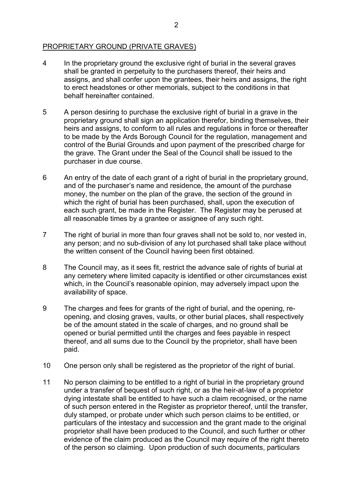# PROPRIETARY GROUND (PRIVATE GRAVES)

- 4 In the proprietary ground the exclusive right of burial in the several graves shall be granted in perpetuity to the purchasers thereof, their heirs and assigns, and shall confer upon the grantees, their heirs and assigns, the right to erect headstones or other memorials, subject to the conditions in that behalf hereinafter contained.
- 5 A person desiring to purchase the exclusive right of burial in a grave in the proprietary ground shall sign an application therefor, binding themselves, their heirs and assigns, to conform to all rules and regulations in force or thereafter to be made by the Ards Borough Council for the regulation, management and control of the Burial Grounds and upon payment of the prescribed charge for the grave. The Grant under the Seal of the Council shall be issued to the purchaser in due course.
- 6 An entry of the date of each grant of a right of burial in the proprietary ground, and of the purchaser's name and residence, the amount of the purchase money, the number on the plan of the grave, the section of the ground in which the right of burial has been purchased, shall, upon the execution of each such grant, be made in the Register. The Register may be perused at all reasonable times by a grantee or assignee of any such right.
- 7 The right of burial in more than four graves shall not be sold to, nor vested in, any person; and no sub-division of any lot purchased shall take place without the written consent of the Council having been first obtained.
- 8 The Council may, as it sees fit, restrict the advance sale of rights of burial at any cemetery where limited capacity is identified or other circumstances exist which, in the Council's reasonable opinion, may adversely impact upon the availability of space.
- 9 The charges and fees for grants of the right of burial, and the opening, reopening, and closing graves, vaults, or other burial places, shall respectively be of the amount stated in the scale of charges, and no ground shall be opened or burial permitted until the charges and fees payable in respect thereof, and all sums due to the Council by the proprietor, shall have been paid.
- 10 One person only shall be registered as the proprietor of the right of burial.
- 11 No person claiming to be entitled to a right of burial in the proprietary ground under a transfer of bequest of such right, or as the heir-at-law of a proprietor dying intestate shall be entitled to have such a claim recognised, or the name of such person entered in the Register as proprietor thereof, until the transfer, duly stamped, or probate under which such person claims to be entitled, or particulars of the intestacy and succession and the grant made to the original proprietor shall have been produced to the Council, and such further or other evidence of the claim produced as the Council may require of the right thereto of the person so claiming. Upon production of such documents, particulars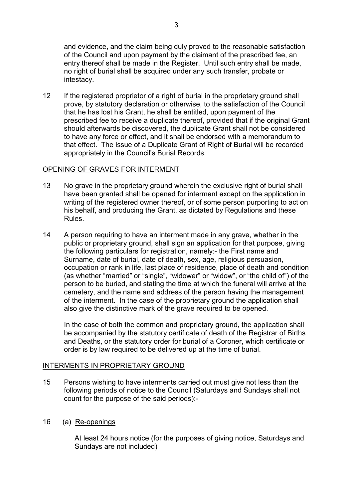and evidence, and the claim being duly proved to the reasonable satisfaction of the Council and upon payment by the claimant of the prescribed fee, an entry thereof shall be made in the Register. Until such entry shall be made, no right of burial shall be acquired under any such transfer, probate or intestacy.

12 If the registered proprietor of a right of burial in the proprietary ground shall prove, by statutory declaration or otherwise, to the satisfaction of the Council that he has lost his Grant, he shall be entitled, upon payment of the prescribed fee to receive a duplicate thereof, provided that if the original Grant should afterwards be discovered, the duplicate Grant shall not be considered to have any force or effect, and it shall be endorsed with a memorandum to that effect. The issue of a Duplicate Grant of Right of Burial will be recorded appropriately in the Council's Burial Records.

# OPENING OF GRAVES FOR INTERMENT

- 13 No grave in the proprietary ground wherein the exclusive right of burial shall have been granted shall be opened for interment except on the application in writing of the registered owner thereof, or of some person purporting to act on his behalf, and producing the Grant, as dictated by Regulations and these Rules.
- 14 A person requiring to have an interment made in any grave, whether in the public or proprietary ground, shall sign an application for that purpose, giving the following particulars for registration, namely:- the First name and Surname, date of burial, date of death, sex, age, religious persuasion, occupation or rank in life, last place of residence, place of death and condition (as whether "married" or "single", "widower" or "widow", or "the child of") of the person to be buried, and stating the time at which the funeral will arrive at the cemetery, and the name and address of the person having the management of the interment. In the case of the proprietary ground the application shall also give the distinctive mark of the grave required to be opened.

 In the case of both the common and proprietary ground, the application shall be accompanied by the statutory certificate of death of the Registrar of Births and Deaths, or the statutory order for burial of a Coroner, which certificate or order is by law required to be delivered up at the time of burial.

# INTERMENTS IN PROPRIETARY GROUND

- 15 Persons wishing to have interments carried out must give not less than the following periods of notice to the Council (Saturdays and Sundays shall not count for the purpose of the said periods):-
- 16 (a) Re-openings

At least 24 hours notice (for the purposes of giving notice, Saturdays and Sundays are not included)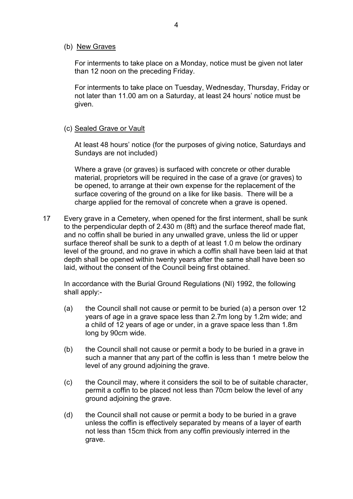#### (b) New Graves

For interments to take place on a Monday, notice must be given not later than 12 noon on the preceding Friday.

For interments to take place on Tuesday, Wednesday, Thursday, Friday or not later than 11.00 am on a Saturday, at least 24 hours' notice must be given.

#### (c) Sealed Grave or Vault

At least 48 hours' notice (for the purposes of giving notice, Saturdays and Sundays are not included)

Where a grave (or graves) is surfaced with concrete or other durable material, proprietors will be required in the case of a grave (or graves) to be opened, to arrange at their own expense for the replacement of the surface covering of the ground on a like for like basis. There will be a charge applied for the removal of concrete when a grave is opened.

17 Every grave in a Cemetery, when opened for the first interment, shall be sunk to the perpendicular depth of 2.430 m (8ft) and the surface thereof made flat, and no coffin shall be buried in any unwalled grave, unless the lid or upper surface thereof shall be sunk to a depth of at least 1.0 m below the ordinary level of the ground, and no grave in which a coffin shall have been laid at that depth shall be opened within twenty years after the same shall have been so laid, without the consent of the Council being first obtained.

In accordance with the Burial Ground Regulations (NI) 1992, the following shall apply:-

- (a) the Council shall not cause or permit to be buried (a) a person over 12 years of age in a grave space less than 2.7m long by 1.2m wide; and a child of 12 years of age or under, in a grave space less than 1.8m long by 90cm wide.
- (b) the Council shall not cause or permit a body to be buried in a grave in such a manner that any part of the coffin is less than 1 metre below the level of any ground adjoining the grave.
- (c) the Council may, where it considers the soil to be of suitable character, permit a coffin to be placed not less than 70cm below the level of any ground adjoining the grave.
- (d) the Council shall not cause or permit a body to be buried in a grave unless the coffin is effectively separated by means of a layer of earth not less than 15cm thick from any coffin previously interred in the grave.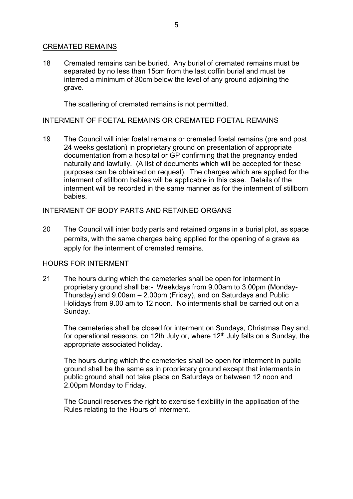# CREMATED REMAINS

18 Cremated remains can be buried. Any burial of cremated remains must be separated by no less than 15cm from the last coffin burial and must be interred a minimum of 30cm below the level of any ground adjoining the grave.

The scattering of cremated remains is not permitted.

### INTERMENT OF FOETAL REMAINS OR CREMATED FOETAL REMAINS

19 The Council will inter foetal remains or cremated foetal remains (pre and post 24 weeks gestation) in proprietary ground on presentation of appropriate documentation from a hospital or GP confirming that the pregnancy ended naturally and lawfully. (A list of documents which will be accepted for these purposes can be obtained on request). The charges which are applied for the interment of stillborn babies will be applicable in this case. Details of the interment will be recorded in the same manner as for the interment of stillborn babies.

# INTERMENT OF BODY PARTS AND RETAINED ORGANS

20 The Council will inter body parts and retained organs in a burial plot, as space permits, with the same charges being applied for the opening of a grave as apply for the interment of cremated remains.

# HOURS FOR INTERMENT

21 The hours during which the cemeteries shall be open for interment in proprietary ground shall be:- Weekdays from 9.00am to 3.00pm (Monday-Thursday) and 9.00am – 2.00pm (Friday), and on Saturdays and Public Holidays from 9.00 am to 12 noon. No interments shall be carried out on a Sunday.

 The cemeteries shall be closed for interment on Sundays, Christmas Day and, for operational reasons, on 12th July or, where  $12<sup>th</sup>$  July falls on a Sunday, the appropriate associated holiday.

 The hours during which the cemeteries shall be open for interment in public ground shall be the same as in proprietary ground except that interments in public ground shall not take place on Saturdays or between 12 noon and 2.00pm Monday to Friday.

The Council reserves the right to exercise flexibility in the application of the Rules relating to the Hours of Interment.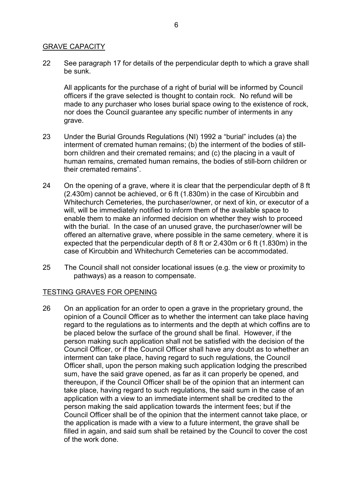# GRAVE CAPACITY

22 See paragraph 17 for details of the perpendicular depth to which a grave shall be sunk.

All applicants for the purchase of a right of burial will be informed by Council officers if the grave selected is thought to contain rock. No refund will be made to any purchaser who loses burial space owing to the existence of rock, nor does the Council guarantee any specific number of interments in any grave.

- 23 Under the Burial Grounds Regulations (NI) 1992 a "burial" includes (a) the interment of cremated human remains; (b) the interment of the bodies of stillborn children and their cremated remains; and (c) the placing in a vault of human remains, cremated human remains, the bodies of still-born children or their cremated remains".
- 24 On the opening of a grave, where it is clear that the perpendicular depth of 8 ft (2.430m) cannot be achieved, or 6 ft (1.830m) in the case of Kircubbin and Whitechurch Cemeteries, the purchaser/owner, or next of kin, or executor of a will, will be immediately notified to inform them of the available space to enable them to make an informed decision on whether they wish to proceed with the burial. In the case of an unused grave, the purchaser/owner will be offered an alternative grave, where possible in the same cemetery, where it is expected that the perpendicular depth of 8 ft or 2.430m or 6 ft (1.830m) in the case of Kircubbin and Whitechurch Cemeteries can be accommodated.
- 25 The Council shall not consider locational issues (e.g. the view or proximity to pathways) as a reason to compensate.

#### TESTING GRAVES FOR OPENING

26 On an application for an order to open a grave in the proprietary ground, the opinion of a Council Officer as to whether the interment can take place having regard to the regulations as to interments and the depth at which coffins are to be placed below the surface of the ground shall be final. However, if the person making such application shall not be satisfied with the decision of the Council Officer, or if the Council Officer shall have any doubt as to whether an interment can take place, having regard to such regulations, the Council Officer shall, upon the person making such application lodging the prescribed sum, have the said grave opened, as far as it can properly be opened, and thereupon, if the Council Officer shall be of the opinion that an interment can take place, having regard to such regulations, the said sum in the case of an application with a view to an immediate interment shall be credited to the person making the said application towards the interment fees; but if the Council Officer shall be of the opinion that the interment cannot take place, or the application is made with a view to a future interment, the grave shall be filled in again, and said sum shall be retained by the Council to cover the cost of the work done.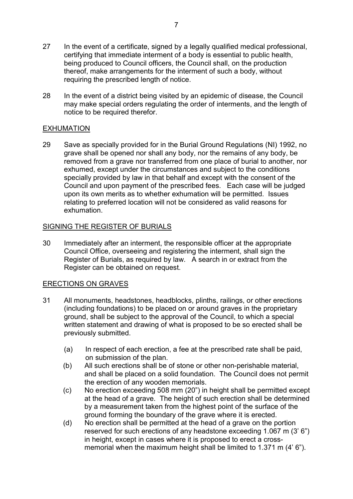- 27 In the event of a certificate, signed by a legally qualified medical professional, certifying that immediate interment of a body is essential to public health, being produced to Council officers, the Council shall, on the production thereof, make arrangements for the interment of such a body, without requiring the prescribed length of notice.
- 28 In the event of a district being visited by an epidemic of disease, the Council may make special orders regulating the order of interments, and the length of notice to be required therefor.

# EXHUMATION

29 Save as specially provided for in the Burial Ground Regulations (NI) 1992, no grave shall be opened nor shall any body, nor the remains of any body, be removed from a grave nor transferred from one place of burial to another, nor exhumed, except under the circumstances and subject to the conditions specially provided by law in that behalf and except with the consent of the Council and upon payment of the prescribed fees. Each case will be judged upon its own merits as to whether exhumation will be permitted. Issues relating to preferred location will not be considered as valid reasons for exhumation.

# SIGNING THE REGISTER OF BURIALS

30 Immediately after an interment, the responsible officer at the appropriate Council Office, overseeing and registering the interment, shall sign the Register of Burials, as required by law. A search in or extract from the Register can be obtained on request.

# ERECTIONS ON GRAVES

- 31 All monuments, headstones, headblocks, plinths, railings, or other erections (including foundations) to be placed on or around graves in the proprietary ground, shall be subject to the approval of the Council, to which a special written statement and drawing of what is proposed to be so erected shall be previously submitted.
	- (a) In respect of each erection, a fee at the prescribed rate shall be paid, on submission of the plan.
	- (b) All such erections shall be of stone or other non-perishable material, and shall be placed on a solid foundation. The Council does not permit the erection of any wooden memorials.
	- (c) No erection exceeding 508 mm (20") in height shall be permitted except at the head of a grave. The height of such erection shall be determined by a measurement taken from the highest point of the surface of the ground forming the boundary of the grave where it is erected.
	- (d) No erection shall be permitted at the head of a grave on the portion reserved for such erections of any headstone exceeding 1.067 m (3' 6") in height, except in cases where it is proposed to erect a crossmemorial when the maximum height shall be limited to 1.371 m (4' 6").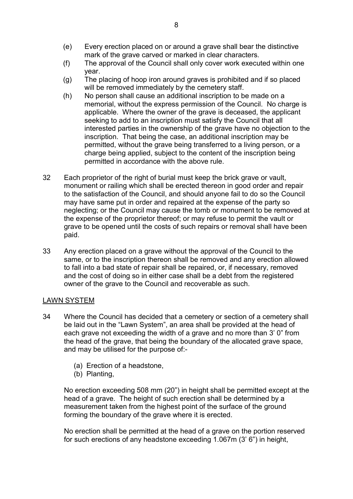- (e) Every erection placed on or around a grave shall bear the distinctive mark of the grave carved or marked in clear characters.
- (f) The approval of the Council shall only cover work executed within one year.
- (g) The placing of hoop iron around graves is prohibited and if so placed will be removed immediately by the cemetery staff.
- (h) No person shall cause an additional inscription to be made on a memorial, without the express permission of the Council. No charge is applicable. Where the owner of the grave is deceased, the applicant seeking to add to an inscription must satisfy the Council that all interested parties in the ownership of the grave have no objection to the inscription. That being the case, an additional inscription may be permitted, without the grave being transferred to a living person, or a charge being applied, subject to the content of the inscription being permitted in accordance with the above rule.
- 32 Each proprietor of the right of burial must keep the brick grave or vault, monument or railing which shall be erected thereon in good order and repair to the satisfaction of the Council, and should anyone fail to do so the Council may have same put in order and repaired at the expense of the party so neglecting; or the Council may cause the tomb or monument to be removed at the expense of the proprietor thereof; or may refuse to permit the vault or grave to be opened until the costs of such repairs or removal shall have been paid.
- 33 Any erection placed on a grave without the approval of the Council to the same, or to the inscription thereon shall be removed and any erection allowed to fall into a bad state of repair shall be repaired, or, if necessary, removed and the cost of doing so in either case shall be a debt from the registered owner of the grave to the Council and recoverable as such.

# LAWN SYSTEM

- 34 Where the Council has decided that a cemetery or section of a cemetery shall be laid out in the "Lawn System", an area shall be provided at the head of each grave not exceeding the width of a grave and no more than 3' 0" from the head of the grave, that being the boundary of the allocated grave space, and may be utilised for the purpose of:-
	- (a) Erection of a headstone,
	- (b) Planting,

No erection exceeding 508 mm (20") in height shall be permitted except at the head of a grave. The height of such erection shall be determined by a measurement taken from the highest point of the surface of the ground forming the boundary of the grave where it is erected.

No erection shall be permitted at the head of a grave on the portion reserved for such erections of any headstone exceeding 1.067m (3' 6") in height,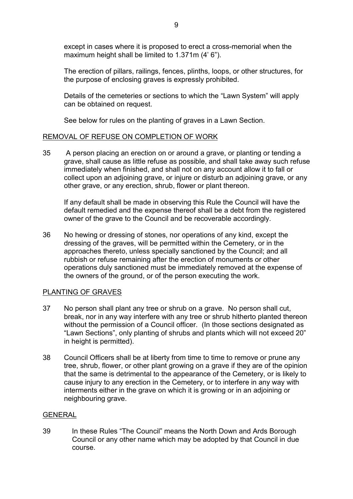except in cases where it is proposed to erect a cross-memorial when the maximum height shall be limited to 1.371m (4' 6").

The erection of pillars, railings, fences, plinths, loops, or other structures, for the purpose of enclosing graves is expressly prohibited.

Details of the cemeteries or sections to which the "Lawn System" will apply can be obtained on request.

See below for rules on the planting of graves in a Lawn Section.

### REMOVAL OF REFUSE ON COMPLETION OF WORK

35 A person placing an erection on or around a grave, or planting or tending a grave, shall cause as little refuse as possible, and shall take away such refuse immediately when finished, and shall not on any account allow it to fall or collect upon an adjoining grave, or injure or disturb an adjoining grave, or any other grave, or any erection, shrub, flower or plant thereon.

 If any default shall be made in observing this Rule the Council will have the default remedied and the expense thereof shall be a debt from the registered owner of the grave to the Council and be recoverable accordingly.

36 No hewing or dressing of stones, nor operations of any kind, except the dressing of the graves, will be permitted within the Cemetery, or in the approaches thereto, unless specially sanctioned by the Council; and all rubbish or refuse remaining after the erection of monuments or other operations duly sanctioned must be immediately removed at the expense of the owners of the ground, or of the person executing the work.

# PLANTING OF GRAVES

- 37 No person shall plant any tree or shrub on a grave. No person shall cut, break, nor in any way interfere with any tree or shrub hitherto planted thereon without the permission of a Council officer. (In those sections designated as "Lawn Sections", only planting of shrubs and plants which will not exceed 20" in height is permitted).
- 38 Council Officers shall be at liberty from time to time to remove or prune any tree, shrub, flower, or other plant growing on a grave if they are of the opinion that the same is detrimental to the appearance of the Cemetery, or is likely to cause injury to any erection in the Cemetery, or to interfere in any way with interments either in the grave on which it is growing or in an adjoining or neighbouring grave.

#### GENERAL

39 In these Rules "The Council" means the North Down and Ards Borough Council or any other name which may be adopted by that Council in due course.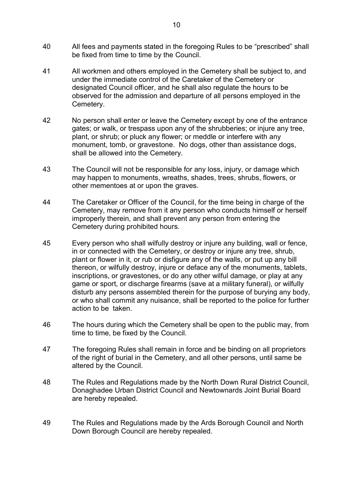- 40 All fees and payments stated in the foregoing Rules to be "prescribed" shall be fixed from time to time by the Council.
- 41 All workmen and others employed in the Cemetery shall be subject to, and under the immediate control of the Caretaker of the Cemetery or designated Council officer, and he shall also regulate the hours to be observed for the admission and departure of all persons employed in the Cemetery.
- 42 No person shall enter or leave the Cemetery except by one of the entrance gates; or walk, or trespass upon any of the shrubberies; or injure any tree, plant, or shrub; or pluck any flower; or meddle or interfere with any monument, tomb, or gravestone. No dogs, other than assistance dogs, shall be allowed into the Cemetery.
- 43 The Council will not be responsible for any loss, injury, or damage which may happen to monuments, wreaths, shades, trees, shrubs, flowers, or other mementoes at or upon the graves.
- 44 The Caretaker or Officer of the Council, for the time being in charge of the Cemetery, may remove from it any person who conducts himself or herself improperly therein, and shall prevent any person from entering the Cemetery during prohibited hours.
- 45 Every person who shall wilfully destroy or injure any building, wall or fence, in or connected with the Cemetery, or destroy or injure any tree, shrub, plant or flower in it, or rub or disfigure any of the walls, or put up any bill thereon, or wilfully destroy, injure or deface any of the monuments, tablets, inscriptions, or gravestones, or do any other wilful damage, or play at any game or sport, or discharge firearms (save at a military funeral), or wilfully disturb any persons assembled therein for the purpose of burying any body, or who shall commit any nuisance, shall be reported to the police for further action to be taken.
- 46 The hours during which the Cemetery shall be open to the public may, from time to time, be fixed by the Council.
- 47 The foregoing Rules shall remain in force and be binding on all proprietors of the right of burial in the Cemetery, and all other persons, until same be altered by the Council.
- 48 The Rules and Regulations made by the North Down Rural District Council, Donaghadee Urban District Council and Newtownards Joint Burial Board are hereby repealed.
- 49 The Rules and Regulations made by the Ards Borough Council and North Down Borough Council are hereby repealed.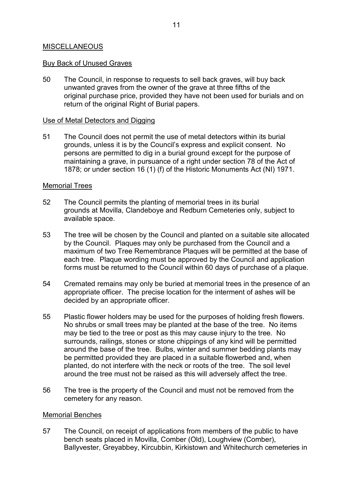### MISCELLANEOUS

#### Buy Back of Unused Graves

50 The Council, in response to requests to sell back graves, will buy back unwanted graves from the owner of the grave at three fifths of the original purchase price, provided they have not been used for burials and on return of the original Right of Burial papers.

### Use of Metal Detectors and Digging

51 The Council does not permit the use of metal detectors within its burial grounds, unless it is by the Council's express and explicit consent. No persons are permitted to dig in a burial ground except for the purpose of maintaining a grave, in pursuance of a right under section 78 of the Act of 1878; or under section 16 (1) (f) of the Historic Monuments Act (NI) 1971.

### Memorial Trees

- 52 The Council permits the planting of memorial trees in its burial grounds at Movilla, Clandeboye and Redburn Cemeteries only, subject to available space.
- 53 The tree will be chosen by the Council and planted on a suitable site allocated by the Council. Plaques may only be purchased from the Council and a maximum of two Tree Remembrance Plaques will be permitted at the base of each tree. Plaque wording must be approved by the Council and application forms must be returned to the Council within 60 days of purchase of a plaque.
- 54 Cremated remains may only be buried at memorial trees in the presence of an appropriate officer. The precise location for the interment of ashes will be decided by an appropriate officer.
- 55 Plastic flower holders may be used for the purposes of holding fresh flowers. No shrubs or small trees may be planted at the base of the tree. No items may be tied to the tree or post as this may cause injury to the tree. No surrounds, railings, stones or stone chippings of any kind will be permitted around the base of the tree. Bulbs, winter and summer bedding plants may be permitted provided they are placed in a suitable flowerbed and, when planted, do not interfere with the neck or roots of the tree. The soil level around the tree must not be raised as this will adversely affect the tree.
- 56 The tree is the property of the Council and must not be removed from the cemetery for any reason.

#### Memorial Benches

57 The Council, on receipt of applications from members of the public to have bench seats placed in Movilla, Comber (Old), Loughview (Comber), Ballyvester, Greyabbey, Kircubbin, Kirkistown and Whitechurch cemeteries in